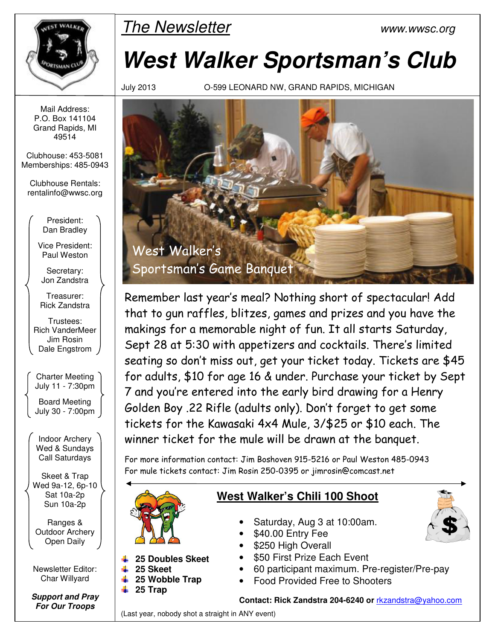

The Newsletter www.wwsc.org

# **West Walker Sportsman's Club**

July 2013 O-599 LEONARD NW, GRAND RAPIDS, MICHIGAN



Remember last year's meal? Nothing short of spectacular! Add that to gun raffles, blitzes, games and prizes and you have the makings for a memorable night of fun. It all starts Saturday, Sept 28 at 5:30 with appetizers and cocktails. There's limited seating so don't miss out, get your ticket today. Tickets are \$45 for adults, \$10 for age 16 & under. Purchase your ticket by Sept 7 and you're entered into the early bird drawing for a Henry Golden Boy .22 Rifle (adults only). Don't forget to get some tickets for the Kawasaki 4x4 Mule, 3/\$25 or \$10 each. The winner ticket for the mule will be drawn at the banquet.

For more information contact: Jim Boshoven 915-5216 or Paul Weston 485-0943 For mule tickets contact: Jim Rosin 250-0395 or jimrosin@comcast.net



# **West Walker's Chili 100 Shoot**

- Saturday, Aug 3 at 10:00am.
- \$40.00 Entry Fee
- \$250 High Overall
- \$50 First Prize Each Event
- 60 participant maximum. Pre-register/Pre-pay
- Food Provided Free to Shooters

#### **Contact: Rick Zandstra 204-6240 or** rkzandstra@yahoo.com

(Last year, nobody shot a straight in ANY event)

Mail Address: P.O. Box 141104 Grand Rapids, MI 49514

Clubhouse: 453-5081 Memberships: 485-0943

Clubhouse Rentals: rentalinfo@wwsc.org

> President: Dan Bradley

Vice President: Paul Weston

Secretary: Jon Zandstra

Treasurer: Rick Zandstra

Trustees: Rich VanderMeer Jim Rosin Dale Engstrom

Charter Meeting July 11 - 7:30pm

Board Meeting July 30 - 7:00pm

Indoor Archery Wed & Sundays Call Saturdays

Skeet & Trap Wed 9a-12, 6p-10 Sat 10a-2p Sun 10a-2p

Ranges & Outdoor Archery Open Daily

Newsletter Editor: Char Willyard

**Support and Pray For Our Troops**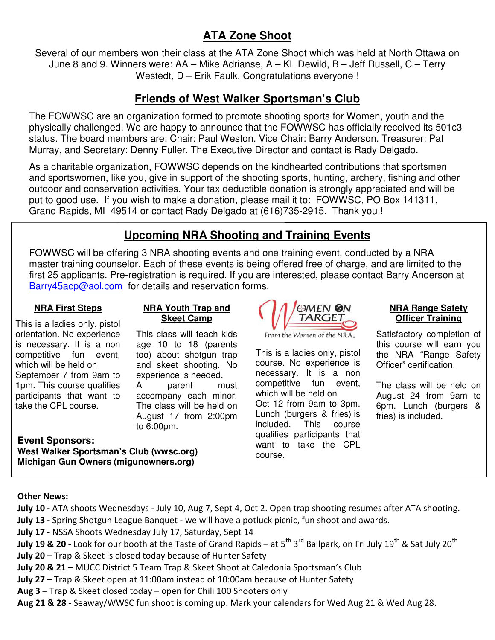# **ATA Zone Shoot**

Several of our members won their class at the ATA Zone Shoot which was held at North Ottawa on June 8 and 9. Winners were: AA – Mike Adrianse, A – KL Dewild, B – Jeff Russell, C – Terry Westedt, D – Erik Faulk. Congratulations everyone !

# **Friends of West Walker Sportsman's Club**

The FOWWSC are an organization formed to promote shooting sports for Women, youth and the physically challenged. We are happy to announce that the FOWWSC has officially received its 501c3 status. The board members are: Chair: Paul Weston, Vice Chair: Barry Anderson, Treasurer: Pat Murray, and Secretary: Denny Fuller. The Executive Director and contact is Rady Delgado.

As a charitable organization, FOWWSC depends on the kindhearted contributions that sportsmen and sportswomen, like you, give in support of the shooting sports, hunting, archery, fishing and other outdoor and conservation activities. Your tax deductible donation is strongly appreciated and will be put to good use. If you wish to make a donation, please mail it to: FOWWSC, PO Box 141311, Grand Rapids, MI 49514 or contact Rady Delgado at (616)735-2915. Thank you !

# **Upcoming NRA Shooting and Training Events**

FOWWSC will be offering 3 NRA shooting events and one training event, conducted by a NRA master training counselor. Each of these events is being offered free of charge, and are limited to the first 25 applicants. Pre-registration is required. If you are interested, please contact Barry Anderson at Barry45acp@aol.com for details and reservation forms.

#### **NRA First Steps**

#### **NRA Youth Trap and Skeet Camp**

This class will teach kids age 10 to 18 (parents too) about shotgun trap and skeet shooting. No experience is needed. A parent must accompany each minor. The class will be held on August 17 from 2:00pm

This is a ladies only, pistol orientation. No experience is necessary. It is a non competitive fun event, which will be held on September 7 from 9am to 1pm. This course qualifies participants that want to take the CPL course.

**Event Sponsors: West Walker Sportsman's Club (wwsc.org) Michigan Gun Owners (migunowners.org)** 



This is a ladies only, pistol course. No experience is necessary. It is a non competitive fun event, which will be held on Oct 12 from 9am to 3pm. Lunch (burgers & fries) is included. This course qualifies participants that want to take the CPL course.

#### **NRA Range Safety Officer Training**

Satisfactory completion of this course will earn you the NRA "Range Safety Officer" certification.

The class will be held on August 24 from 9am to 6pm. Lunch (burgers & fries) is included.

#### **Other News:**

- **July 10** ATA shoots Wednesdays July 10, Aug 7, Sept 4, Oct 2. Open trap shooting resumes after ATA shooting.
- **July 13** Spring Shotgun League Banquet we will have a potluck picnic, fun shoot and awards.
- **July 17** NSSA Shoots Wednesday July 17, Saturday, Sept 14
- **July 19 & 20** Look for our booth at the Taste of Grand Rapids at 5<sup>th</sup> 3<sup>rd</sup> Ballpark, on Fri July 19<sup>th</sup> & Sat July 20<sup>th</sup>
- **July 20** Trap & Skeet is closed today because of Hunter Safety
- **July 20 & 21 –** MUCC District 5 Team Trap & Skeet Shoot at Caledonia Sportsman's Club
- **July 27 –** Trap & Skeet open at 11:00am instead of 10:00am because of Hunter Safety
- **Aug 3 –** Trap & Skeet closed today open for Chili 100 Shooters only

to 6:00pm.

**Aug 21 & 28 -** Seaway/WWSC fun shoot is coming up. Mark your calendars for Wed Aug 21 & Wed Aug 28.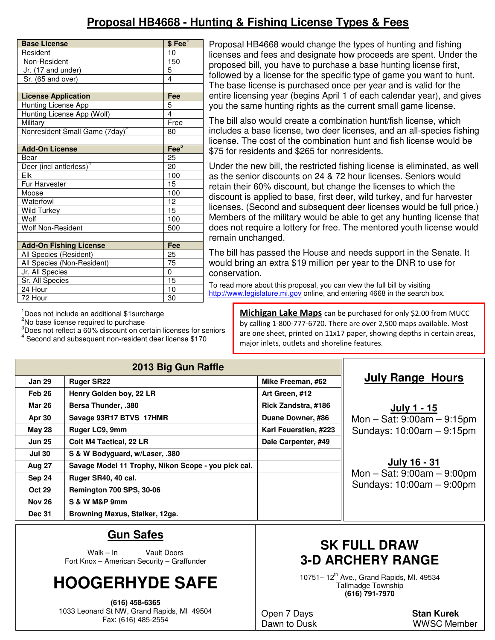# **Proposal HB4668 - Hunting & Fishing License Types & Fees**

| <b>Base License</b>                        | $$Fee$ <sup>1</sup> |  |  |
|--------------------------------------------|---------------------|--|--|
| Resident                                   | 10                  |  |  |
| Non-Resident                               | 150                 |  |  |
| Jr. (17 and under)                         | 5                   |  |  |
| Sr. (65 and over)                          | 4                   |  |  |
|                                            |                     |  |  |
| <b>License Application</b>                 | Fee                 |  |  |
| Hunting License App                        | 5                   |  |  |
| Hunting License App (Wolf)                 | $\overline{4}$      |  |  |
| Military                                   | Free                |  |  |
| Nonresident Small Game (7day) <sup>2</sup> | 80                  |  |  |
|                                            |                     |  |  |
| <b>Add-On License</b>                      | Fee <sup>3</sup>    |  |  |
| Bear                                       | 25                  |  |  |
| Deer (incl antlerless) <sup>4</sup>        | 20                  |  |  |
| Flk                                        | 100                 |  |  |
| Fur Harvester                              | 15                  |  |  |
| Moose                                      | 100                 |  |  |
| Waterfowl                                  | 12                  |  |  |
| <b>Wild Turkey</b>                         | 15                  |  |  |
| Wolf                                       | 100                 |  |  |
| <b>Wolf Non-Resident</b>                   | 500                 |  |  |
|                                            |                     |  |  |
| <b>Add-On Fishing License</b>              | Fee                 |  |  |
| All Species (Resident)                     | 25                  |  |  |
| All Species (Non-Resident)                 | 75                  |  |  |
| Jr. All Species                            | 0                   |  |  |
| Sr. All Species                            | 15                  |  |  |
| 24 Hour                                    | 10                  |  |  |
| 72 Hour                                    | 30                  |  |  |

Proposal HB4668 would change the types of hunting and fishing licenses and fees and designate how proceeds are spent. Under the proposed bill, you have to purchase a base hunting license first, followed by a license for the specific type of game you want to hunt. The base license is purchased once per year and is valid for the entire licensing year (begins April 1 of each calendar year), and gives you the same hunting rights as the current small game license.

The bill also would create a combination hunt/fish license, which includes a base license, two deer licenses, and an all-species fishing license. The cost of the combination hunt and fish license would be \$75 for residents and \$265 for nonresidents.

Under the new bill, the restricted fishing license is eliminated, as well as the senior discounts on 24 & 72 hour licenses. Seniors would retain their 60% discount, but change the licenses to which the discount is applied to base, first deer, wild turkey, and fur harvester licenses. (Second and subsequent deer licenses would be full price.) Members of the military would be able to get any hunting license that does not require a lottery for free. The mentored youth license would remain unchanged.

The bill has passed the House and needs support in the Senate. It would bring an extra \$19 million per year to the DNR to use for conservation.

To read more about this proposal, you can view the full bill by visiting http://www.legislature.mi.gov online, and entering 4668 in the search box.

<sup>1</sup>Does not include an additional \$1 surcharge

<sup>2</sup>No base license required to purchase

 $3$ Does not reflect a 60% discount on certain licenses for seniors  $4$  Second and subsequent per regident deer license \$1.70

Second and subsequent non-resident deer license \$170

**Michigan Lake Maps** can be purchased for only \$2.00 from MUCC by calling 1-800-777-6720. There are over 2,500 maps available. Most are one sheet, printed on 11x17 paper, showing depths in certain areas, major inlets, outlets and shoreline features.

| 2013 Big Gun Raffle |                                                     |                       |  |  |  |  |  |
|---------------------|-----------------------------------------------------|-----------------------|--|--|--|--|--|
| <b>Jan 29</b>       | <b>Ruger SR22</b>                                   | Mike Freeman, #62     |  |  |  |  |  |
| Feb 26              | Henry Golden boy, 22 LR                             | Art Green, #12        |  |  |  |  |  |
| <b>Mar 26</b>       | <b>Bersa Thunder, .380</b>                          | Rick Zandstra, #186   |  |  |  |  |  |
| <b>Apr 30</b>       | Savage 93R17 BTVS 17HMR                             | Duane Downer, #86     |  |  |  |  |  |
| May 28              | Ruger LC9, 9mm                                      | Karl Feuerstien, #223 |  |  |  |  |  |
| <b>Jun 25</b>       | <b>Colt M4 Tactical, 22 LR</b>                      | Dale Carpenter, #49   |  |  |  |  |  |
| <b>Jul 30</b>       | S & W Bodyguard, w/Laser, .380                      |                       |  |  |  |  |  |
| <b>Aug 27</b>       | Savage Model 11 Trophy, Nikon Scope - you pick cal. |                       |  |  |  |  |  |
| Sep 24              | Ruger SR40, 40 cal.                                 |                       |  |  |  |  |  |
| <b>Oct 29</b>       | <b>Remington 700 SPS, 30-06</b>                     |                       |  |  |  |  |  |
| <b>Nov 26</b>       | S & W M&P 9mm                                       |                       |  |  |  |  |  |
| <b>Dec 31</b>       | Browning Maxus, Stalker, 12ga.                      |                       |  |  |  |  |  |

## **July Range Hours**

**July 1 - 15** Mon – Sat: 9:00am – 9:15pm Sundays: 10:00am – 9:15pm

**July 16 - 31** Mon – Sat: 9:00am – 9:00pm Sundays: 10:00am – 9:00pm

## **Gun Safes**

Walk – In Vault Doors Fort Knox – American Security – Graffunder

# **HOOGERHYDE SAFE**

**(616) 458-6365**  1033 Leonard St NW, Grand Rapids, MI 49504 Fax: (616) 485-2554

# **SK FULL DRAW 3-D ARCHERY RANGE**

10751–  $12^{th}$  Ave., Grand Rapids, MI. 49534 Tallmadge Township **(616) 791-7970** 

Open 7 Days **Stan Kurek**

Dawn to Dusk WWSC Member